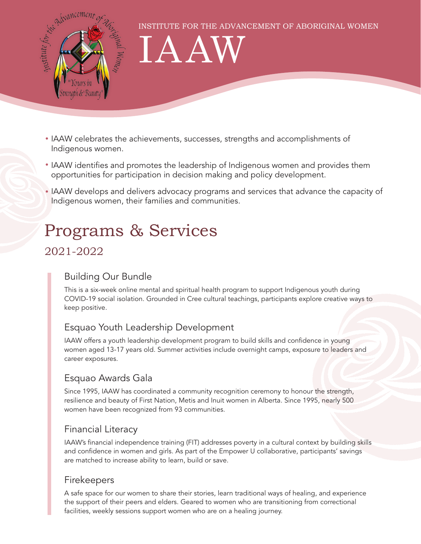

INSTITUTE FOR THE ADVANCEMENT OF ABORIGINAL WOMEN

# IAAW

- IAAW celebrates the achievements, successes, strengths and accomplishments of Indigenous women.
- IAAW identifies and promotes the leadership of Indigenous women and provides them opportunities for participation in decision making and policy development.
- IAAW develops and delivers advocacy programs and services that advance the capacity of Indigenous women, their families and communities.

# Programs & Services

### 2021-2022

#### Building Our Bundle

This is a six-week online mental and spiritual health program to support Indigenous youth during COVID-19 social isolation. Grounded in Cree cultural teachings, participants explore creative ways to keep positive.

#### Esquao Youth Leadership Development

IAAW offers a youth leadership development program to build skills and confidence in young women aged 13-17 years old. Summer activities include overnight camps, exposure to leaders and career exposures.

#### Esquao Awards Gala

Since 1995, IAAW has coordinated a community recognition ceremony to honour the strength, resilience and beauty of First Nation, Metis and Inuit women in Alberta. Since 1995, nearly 500 women have been recognized from 93 communities.

#### Financial Literacy

IAAW's financial independence training (FIT) addresses poverty in a cultural context by building skills and confidence in women and girls. As part of the Empower U collaborative, participants' savings are matched to increase ability to learn, build or save.

#### Firekeepers

A safe space for our women to share their stories, learn traditional ways of healing, and experience the support of their peers and elders. Geared to women who are transitioning from correctional facilities, weekly sessions support women who are on a healing journey.